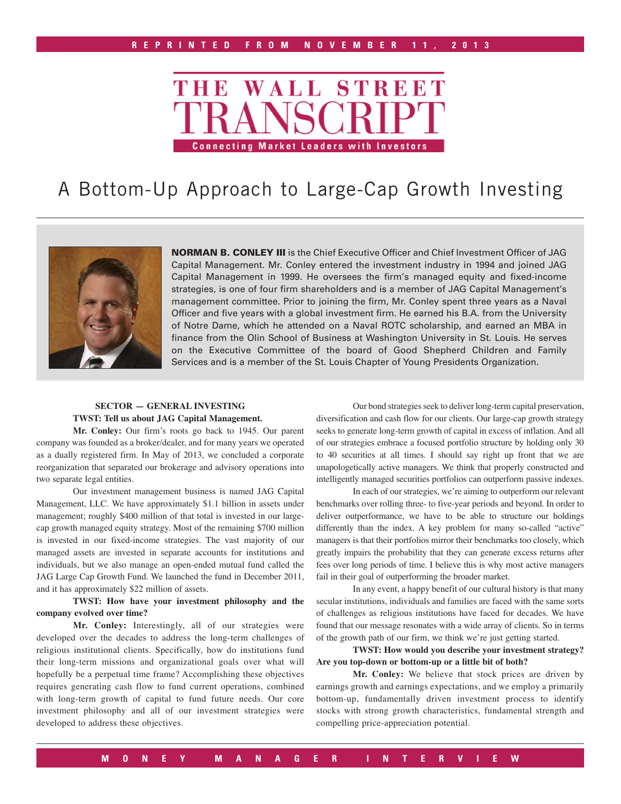

# A Bottom-Up Approach to Large-Cap Growth Investing



NORMAN B. CONLEY III is the Chief Executive Officer and Chief Investment Officer of JAG Capital Management. Mr. Conley entered the investment industry in 1994 and joined JAG Capital Management in 1999. He oversees the firm's managed equity and fixed-income strategies, is one of four firm shareholders and is a member of JAG Capital Management's management committee. Prior to joining the firm, Mr. Conley spent three years as a Naval Officer and five years with a global investment firm. He earned his B.A. from the University of Notre Dame, which he attended on a Naval ROTC scholarship, and earned an MBA in finance from the Olin School of Business at Washington University in St. Louis. He serves on the Executive Committee of the board of Good Shepherd Children and Family Services and is a member of the St. Louis Chapter of Young Presidents Organization.

### **SECTOR — GENERAL INVESTING TWST: Tell us about JAG Capital Management.**

**Mr. Conley:** Our firm's roots go back to 1945. Our parent company was founded as a broker/dealer, and for many years we operated as a dually registered firm. In May of 2013, we concluded a corporate reorganization that separated our brokerage and advisory operations into two separate legal entities.

Our investment management business is named JAG Capital Management, LLC. We have approximately \$1.1 billion in assets under management; roughly \$400 million of that total is invested in our largecap growth managed equity strategy. Most of the remaining \$700 million is invested in our fixed-income strategies. The vast majority of our managed assets are invested in separate accounts for institutions and individuals, but we also manage an open-ended mutual fund called the JAG Large Cap Growth Fund. We launched the fund in December 2011, and it has approximately \$22 million of assets.

### **TWST: How have your investment philosophy and the company evolved over time?**

**Mr. Conley:** Interestingly, all of our strategies were developed over the decades to address the long-term challenges of religious institutional clients. Specifically, how do institutions fund their long-term missions and organizational goals over what will hopefully be a perpetual time frame? Accomplishing these objectives requires generating cash flow to fund current operations, combined with long-term growth of capital to fund future needs. Our core investment philosophy and all of our investment strategies were developed to address these objectives.

Our bond strategies seek to deliver long-term capital preservation, diversification and cash flow for our clients. Our large-cap growth strategy seeks to generate long-term growth of capital in excess of inflation. And all of our strategies embrace a focused portfolio structure by holding only 30 to 40 securities at all times. I should say right up front that we are unapologetically active managers. We think that properly constructed and intelligently managed securities portfolios can outperform passive indexes.

In each of our strategies, we're aiming to outperform our relevant benchmarks over rolling three- to five-year periods and beyond. In order to deliver outperformance, we have to be able to structure our holdings differently than the index. A key problem for many so-called "active" managers is that their portfolios mirror their benchmarks too closely, which greatly impairs the probability that they can generate excess returns after fees over long periods of time. I believe this is why most active managers fail in their goal of outperforming the broader market.

In any event, a happy benefit of our cultural history is that many secular institutions, individuals and families are faced with the same sorts of challenges as religious institutions have faced for decades. We have found that our message resonates with a wide array of clients. So in terms of the growth path of our firm, we think we're just getting started.

**TWST: How would you describe your investment strategy? Are you top-down or bottom-up or a little bit of both?** 

**Mr. Conley:** We believe that stock prices are driven by earnings growth and earnings expectations, and we employ a primarily bottom-up, fundamentally driven investment process to identify stocks with strong growth characteristics, fundamental strength and compelling price-appreciation potential.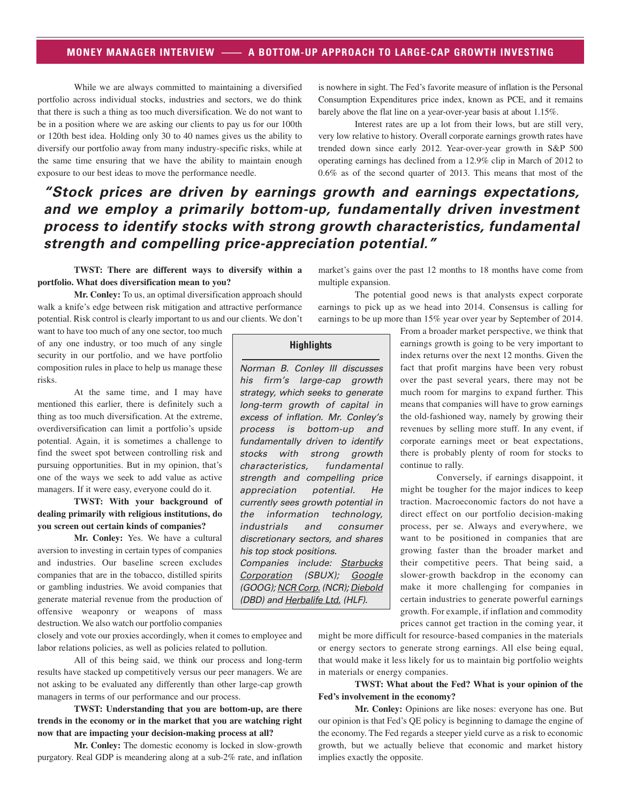# **MONEY MANAGER INTERVIEW —— A BOTTOM-UP APPROACH TO LARGE-CAP GROWTH INVESTING**

While we are always committed to maintaining a diversified portfolio across individual stocks, industries and sectors, we do think that there is such a thing as too much diversification. We do not want to be in a position where we are asking our clients to pay us for our 100th or 120th best idea. Holding only 30 to 40 names gives us the ability to diversify our portfolio away from many industry-specific risks, while at the same time ensuring that we have the ability to maintain enough exposure to our best ideas to move the performance needle.

is nowhere in sight. The Fed's favorite measure of inflation is the Personal Consumption Expenditures price index, known as PCE, and it remains barely above the flat line on a year-over-year basis at about 1.15%.

Interest rates are up a lot from their lows, but are still very, very low relative to history. Overall corporate earnings growth rates have trended down since early 2012. Year-over-year growth in S&P 500 operating earnings has declined from a 12.9% clip in March of 2012 to 0.6% as of the second quarter of 2013. This means that most of the

# *"Stock prices are driven by earnings growth and earnings expectations, and we employ a primarily bottom-up, fundamentally driven investment process to identify stocks with strong growth characteristics, fundamental strength and compelling price-appreciation potential."*

**TWST: There are different ways to diversify within a portfolio. What does diversification mean to you?** 

**Mr. Conley:** To us, an optimal diversification approach should walk a knife's edge between risk mitigation and attractive performance potential. Risk control is clearly important to us and our clients. We don't

want to have too much of any one sector, too much of any one industry, or too much of any single security in our portfolio, and we have portfolio composition rules in place to help us manage these risks.

At the same time, and I may have mentioned this earlier, there is definitely such a thing as too much diversification. At the extreme, overdiversification can limit a portfolio's upside potential. Again, it is sometimes a challenge to find the sweet spot between controlling risk and pursuing opportunities. But in my opinion, that's one of the ways we seek to add value as active managers. If it were easy, everyone could do it.

**TWST: With your background of dealing primarily with religious institutions, do you screen out certain kinds of companies?**

**Mr. Conley:** Yes. We have a cultural aversion to investing in certain types of companies and industries. Our baseline screen excludes companies that are in the tobacco, distilled spirits or gambling industries. We avoid companies that generate material revenue from the production of offensive weaponry or weapons of mass destruction. We also watch our portfolio companies

closely and vote our proxies accordingly, when it comes to employee and labor relations policies, as well as policies related to pollution.

All of this being said, we think our process and long-term results have stacked up competitively versus our peer managers. We are not asking to be evaluated any differently than other large-cap growth managers in terms of our performance and our process.

**TWST: Understanding that you are bottom-up, are there trends in the economy or in the market that you are watching right now that are impacting your decision-making process at all?**

**Mr. Conley:** The domestic economy is locked in slow-growth purgatory. Real GDP is meandering along at a sub-2% rate, and inflation

market's gains over the past 12 months to 18 months have come from multiple expansion.

The potential good news is that analysts expect corporate earnings to pick up as we head into 2014. Consensus is calling for earnings to be up more than 15% year over year by September of 2014.

> From a broader market perspective, we think that earnings growth is going to be very important to index returns over the next 12 months. Given the fact that profit margins have been very robust over the past several years, there may not be much room for margins to expand further. This means that companies will have to grow earnings the old-fashioned way, namely by growing their revenues by selling more stuff. In any event, if corporate earnings meet or beat expectations, there is probably plenty of room for stocks to continue to rally.

> Conversely, if earnings disappoint, it might be tougher for the major indices to keep traction. Macroeconomic factors do not have a direct effect on our portfolio decision-making process, per se. Always and everywhere, we want to be positioned in companies that are growing faster than the broader market and their competitive peers. That being said, a slower-growth backdrop in the economy can make it more challenging for companies in certain industries to generate powerful earnings growth. For example, if inflation and commodity prices cannot get traction in the coming year, it

might be more difficult for resource-based companies in the materials or energy sectors to generate strong earnings. All else being equal, that would make it less likely for us to maintain big portfolio weights in materials or energy companies.

**TWST: What about the Fed? What is your opinion of the Fed's involvement in the economy?** 

**Mr. Conley:** Opinions are like noses: everyone has one. But our opinion is that Fed's QE policy is beginning to damage the engine of the economy. The Fed regards a steeper yield curve as a risk to economic growth, but we actually believe that economic and market history implies exactly the opposite.

**Highlights**

Norman B. Conley III discusses his firm's large-cap growth strategy, which seeks to generate long-term growth of capital in excess of inflation. Mr. Conley's process is bottom-up and fundamentally driven to identify stocks with strong growth characteristics, fundamental strength and compelling price appreciation potential. He currently sees growth potential in the information technology, industrials and consumer discretionary sectors, and shares his top stock positions. Companies include: Starbucks Corporation (SBUX); Google (GOOG); NCR Corp. (NCR); Diebold (DBD) and Herbalife Ltd. (HLF).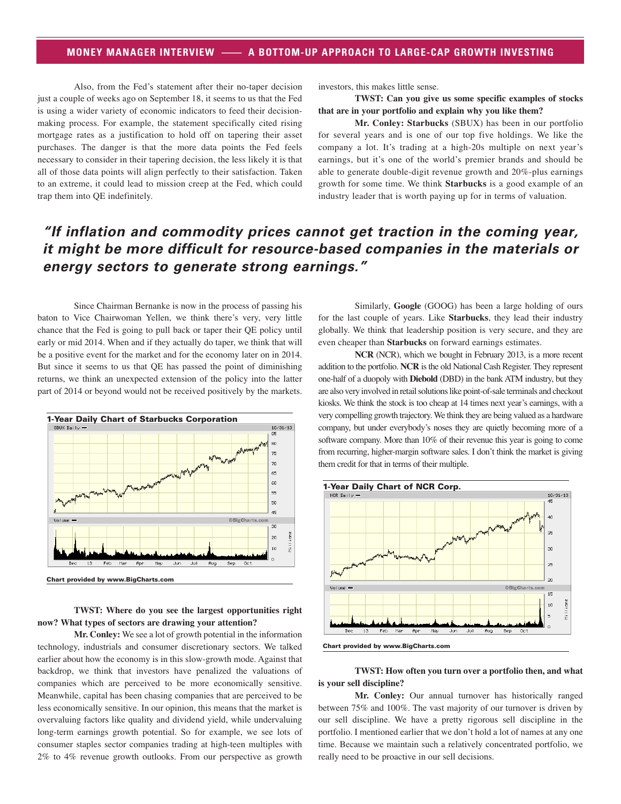# **MONEY MANAGER INTERVIEW —— A BOTTOM-UP APPROACH TO LARGE-CAP GROWTH INVESTING**

Also, from the Fed's statement after their no-taper decision just a couple of weeks ago on September 18, it seems to us that the Fed is using a wider variety of economic indicators to feed their decisionmaking process. For example, the statement specifically cited rising mortgage rates as a justification to hold off on tapering their asset purchases. The danger is that the more data points the Fed feels necessary to consider in their tapering decision, the less likely it is that all of those data points will align perfectly to their satisfaction. Taken to an extreme, it could lead to mission creep at the Fed, which could trap them into QE indefinitely.

investors, this makes little sense.

**TWST: Can you give us some specific examples of stocks that are in your portfolio and explain why you like them?**

**Mr. Conley: Starbucks** (SBUX) has been in our portfolio for several years and is one of our top five holdings. We like the company a lot. It's trading at a high-20s multiple on next year's earnings, but it's one of the world's premier brands and should be able to generate double-digit revenue growth and 20%-plus earnings growth for some time. We think **Starbucks** is a good example of an industry leader that is worth paying up for in terms of valuation.

# *"If inflation and commodity prices cannot get traction in the coming year, it might be more difficult for resource-based companies in the materials or energy sectors to generate strong earnings."*

Since Chairman Bernanke is now in the process of passing his baton to Vice Chairwoman Yellen, we think there's very, very little chance that the Fed is going to pull back or taper their QE policy until early or mid 2014. When and if they actually do taper, we think that will be a positive event for the market and for the economy later on in 2014. But since it seems to us that QE has passed the point of diminishing returns, we think an unexpected extension of the policy into the latter part of 2014 or beyond would not be received positively by the markets.



#### **TWST: Where do you see the largest opportunities right now? What types of sectors are drawing your attention?**

**Mr. Conley:** We see a lot of growth potential in the information technology, industrials and consumer discretionary sectors. We talked earlier about how the economy is in this slow-growth mode. Against that backdrop, we think that investors have penalized the valuations of companies which are perceived to be more economically sensitive. Meanwhile, capital has been chasing companies that are perceived to be less economically sensitive. In our opinion, this means that the market is overvaluing factors like quality and dividend yield, while undervaluing long-term earnings growth potential. So for example, we see lots of consumer staples sector companies trading at high-teen multiples with 2% to 4% revenue growth outlooks. From our perspective as growth

Similarly, **Google** (GOOG) has been a large holding of ours for the last couple of years. Like **Starbucks**, they lead their industry globally. We think that leadership position is very secure, and they are even cheaper than **Starbucks** on forward earnings estimates.

**NCR** (NCR), which we bought in February 2013, is a more recent addition to the portfolio. **NCR** is the old National Cash Register. They represent one-half of a duopoly with **Diebold** (DBD) in the bank ATM industry, but they are also very involved in retail solutions like point-of-sale terminals and checkout kiosks. We think the stock is too cheap at 14 times next year's earnings, with a very compelling growth trajectory. We think they are being valued as a hardware company, but under everybody's noses they are quietly becoming more of a software company. More than 10% of their revenue this year is going to come from recurring, higher-margin software sales. I don't think the market is giving them credit for that in terms of their multiple.



#### **TWST: How often you turn over a portfolio then, and what is your sell discipline?**

**Mr. Conley:** Our annual turnover has historically ranged between 75% and 100%. The vast majority of our turnover is driven by our sell discipline. We have a pretty rigorous sell discipline in the portfolio. I mentioned earlier that we don't hold a lot of names at any one time. Because we maintain such a relatively concentrated portfolio, we really need to be proactive in our sell decisions.